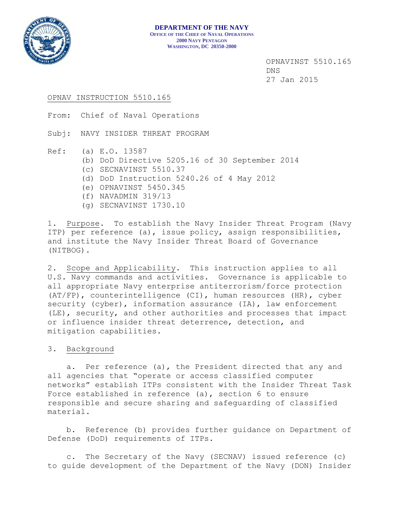

## OPNAV INSTRUCTION 5510.165

From: Chief of Naval Operations

Subj: NAVY INSIDER THREAT PROGRAM

- Ref: (a) E.O. 13587
	- (b) DoD Directive 5205.16 of 30 September 2014
	- (c) SECNAVINST 5510.37
	- (d) DoD Instruction 5240.26 of 4 May 2012
	- (e) OPNAVINST 5450.345
	- (f) NAVADMIN 319/13
	- (g) SECNAVINST 1730.10

1. Purpose. To establish the Navy Insider Threat Program (Navy ITP) per reference (a), issue policy, assign responsibilities, and institute the Navy Insider Threat Board of Governance (NITBOG).

2. Scope and Applicability. This instruction applies to all U.S. Navy commands and activities. Governance is applicable to all appropriate Navy enterprise antiterrorism/force protection (AT/FP), counterintelligence (CI), human resources (HR), cyber security (cyber), information assurance (IA), law enforcement (LE), security, and other authorities and processes that impact or influence insider threat deterrence, detection, and mitigation capabilities.

## 3. Background

 a. Per reference (a), the President directed that any and all agencies that "operate or access classified computer networks" establish ITPs consistent with the Insider Threat Task Force established in reference (a), section 6 to ensure responsible and secure sharing and safeguarding of classified material.

 b. Reference (b) provides further guidance on Department of Defense (DoD) requirements of ITPs.

 c. The Secretary of the Navy (SECNAV) issued reference (c) to guide development of the Department of the Navy (DON) Insider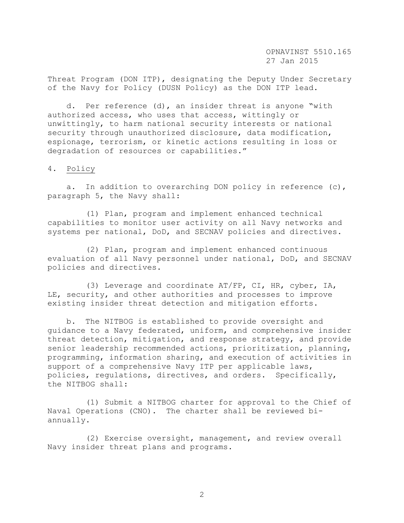Threat Program (DON ITP), designating the Deputy Under Secretary of the Navy for Policy (DUSN Policy) as the DON ITP lead.

 d. Per reference (d), an insider threat is anyone "with authorized access, who uses that access, wittingly or unwittingly, to harm national security interests or national security through unauthorized disclosure, data modification, espionage, terrorism, or kinetic actions resulting in loss or degradation of resources or capabilities."

## 4. Policy

 a. In addition to overarching DON policy in reference (c), paragraph 5, the Navy shall:

 (1) Plan, program and implement enhanced technical capabilities to monitor user activity on all Navy networks and systems per national, DoD, and SECNAV policies and directives.

 (2) Plan, program and implement enhanced continuous evaluation of all Navy personnel under national, DoD, and SECNAV policies and directives.

 (3) Leverage and coordinate AT/FP, CI, HR, cyber, IA, LE, security, and other authorities and processes to improve existing insider threat detection and mitigation efforts.

 b. The NITBOG is established to provide oversight and guidance to a Navy federated, uniform, and comprehensive insider threat detection, mitigation, and response strategy, and provide senior leadership recommended actions, prioritization, planning, programming, information sharing, and execution of activities in support of a comprehensive Navy ITP per applicable laws, policies, regulations, directives, and orders. Specifically, the NITBOG shall:

 (1) Submit a NITBOG charter for approval to the Chief of Naval Operations (CNO). The charter shall be reviewed biannually.

 (2) Exercise oversight, management, and review overall Navy insider threat plans and programs.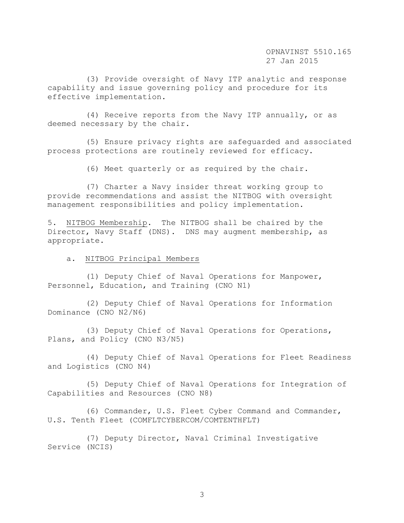(3) Provide oversight of Navy ITP analytic and response capability and issue governing policy and procedure for its effective implementation.

 (4) Receive reports from the Navy ITP annually, or as deemed necessary by the chair.

 (5) Ensure privacy rights are safeguarded and associated process protections are routinely reviewed for efficacy.

(6) Meet quarterly or as required by the chair.

 (7) Charter a Navy insider threat working group to provide recommendations and assist the NITBOG with oversight management responsibilities and policy implementation.

5. NITBOG Membership. The NITBOG shall be chaired by the Director, Navy Staff (DNS). DNS may augment membership, as appropriate.

a. NITBOG Principal Members

 (1) Deputy Chief of Naval Operations for Manpower, Personnel, Education, and Training (CNO N1)

 (2) Deputy Chief of Naval Operations for Information Dominance (CNO N2/N6)

 (3) Deputy Chief of Naval Operations for Operations, Plans, and Policy (CNO N3/N5)

 (4) Deputy Chief of Naval Operations for Fleet Readiness and Logistics (CNO N4)

 (5) Deputy Chief of Naval Operations for Integration of Capabilities and Resources (CNO N8)

 (6) Commander, U.S. Fleet Cyber Command and Commander, U.S. Tenth Fleet (COMFLTCYBERCOM/COMTENTHFLT)

 (7) Deputy Director, Naval Criminal Investigative Service (NCIS)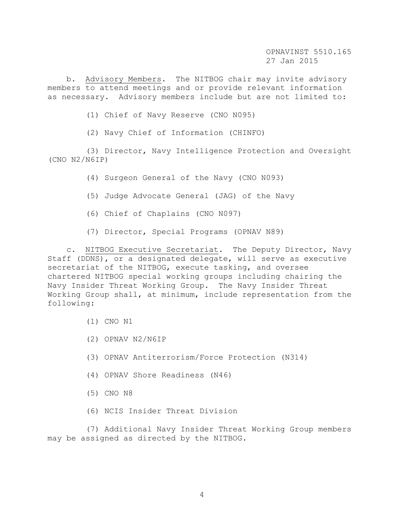b. Advisory Members. The NITBOG chair may invite advisory members to attend meetings and or provide relevant information as necessary. Advisory members include but are not limited to:

(1) Chief of Navy Reserve (CNO N095)

(2) Navy Chief of Information (CHINFO)

 (3) Director, Navy Intelligence Protection and Oversight (CNO N2/N6IP)

(4) Surgeon General of the Navy (CNO N093)

(5) Judge Advocate General (JAG) of the Navy

- (6) Chief of Chaplains (CNO N097)
- (7) Director, Special Programs (OPNAV N89)

 c. NITBOG Executive Secretariat. The Deputy Director, Navy Staff (DDNS), or a designated delegate, will serve as executive secretariat of the NITBOG, execute tasking, and oversee chartered NITBOG special working groups including chairing the Navy Insider Threat Working Group. The Navy Insider Threat Working Group shall, at minimum, include representation from the following:

- (1) CNO N1
- (2) OPNAV N2/N6IP
- (3) OPNAV Antiterrorism/Force Protection (N314)
- (4) OPNAV Shore Readiness (N46)
- (5) CNO N8
- (6) NCIS Insider Threat Division

 (7) Additional Navy Insider Threat Working Group members may be assigned as directed by the NITBOG.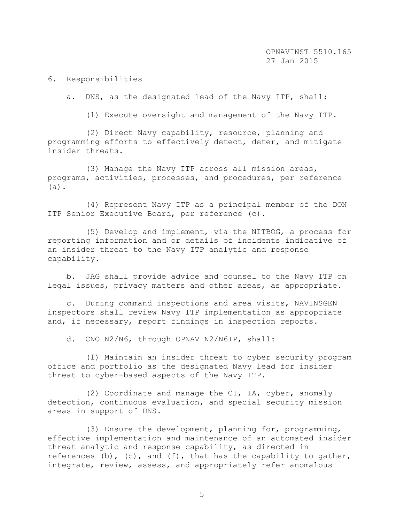## 6. Responsibilities

a. DNS, as the designated lead of the Navy ITP, shall:

(1) Execute oversight and management of the Navy ITP.

 (2) Direct Navy capability, resource, planning and programming efforts to effectively detect, deter, and mitigate insider threats.

 (3) Manage the Navy ITP across all mission areas, programs, activities, processes, and procedures, per reference (a).

 (4) Represent Navy ITP as a principal member of the DON ITP Senior Executive Board, per reference (c).

 (5) Develop and implement, via the NITBOG, a process for reporting information and or details of incidents indicative of an insider threat to the Navy ITP analytic and response capability.

 b. JAG shall provide advice and counsel to the Navy ITP on legal issues, privacy matters and other areas, as appropriate.

 c. During command inspections and area visits, NAVINSGEN inspectors shall review Navy ITP implementation as appropriate and, if necessary, report findings in inspection reports.

d. CNO N2/N6, through OPNAV N2/N6IP, shall:

 (1) Maintain an insider threat to cyber security program office and portfolio as the designated Navy lead for insider threat to cyber-based aspects of the Navy ITP.

 (2) Coordinate and manage the CI, IA, cyber, anomaly detection, continuous evaluation, and special security mission areas in support of DNS.

 (3) Ensure the development, planning for, programming, effective implementation and maintenance of an automated insider threat analytic and response capability, as directed in references (b), (c), and (f), that has the capability to gather, integrate, review, assess, and appropriately refer anomalous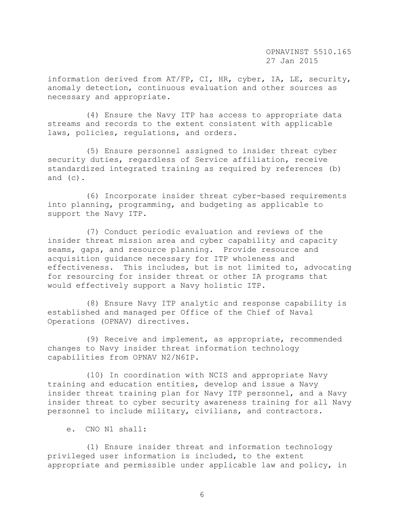information derived from AT/FP, CI, HR, cyber, IA, LE, security, anomaly detection, continuous evaluation and other sources as necessary and appropriate.

 (4) Ensure the Navy ITP has access to appropriate data streams and records to the extent consistent with applicable laws, policies, regulations, and orders.

 (5) Ensure personnel assigned to insider threat cyber security duties, regardless of Service affiliation, receive standardized integrated training as required by references (b) and (c).

 (6) Incorporate insider threat cyber-based requirements into planning, programming, and budgeting as applicable to support the Navy ITP.

 (7) Conduct periodic evaluation and reviews of the insider threat mission area and cyber capability and capacity seams, gaps, and resource planning. Provide resource and acquisition guidance necessary for ITP wholeness and effectiveness. This includes, but is not limited to, advocating for resourcing for insider threat or other IA programs that would effectively support a Navy holistic ITP.

 (8) Ensure Navy ITP analytic and response capability is established and managed per Office of the Chief of Naval Operations (OPNAV) directives.

 (9) Receive and implement, as appropriate, recommended changes to Navy insider threat information technology capabilities from OPNAV N2/N6IP.

 (10) In coordination with NCIS and appropriate Navy training and education entities, develop and issue a Navy insider threat training plan for Navy ITP personnel, and a Navy insider threat to cyber security awareness training for all Navy personnel to include military, civilians, and contractors.

e. CNO N1 shall:

 (1) Ensure insider threat and information technology privileged user information is included, to the extent appropriate and permissible under applicable law and policy, in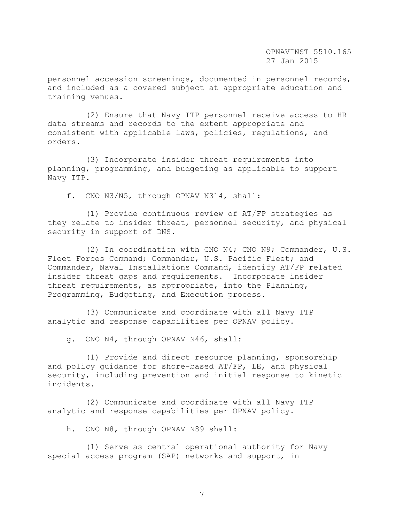personnel accession screenings, documented in personnel records, and included as a covered subject at appropriate education and training venues.

 (2) Ensure that Navy ITP personnel receive access to HR data streams and records to the extent appropriate and consistent with applicable laws, policies, regulations, and orders.

 (3) Incorporate insider threat requirements into planning, programming, and budgeting as applicable to support Navy ITP.

f. CNO N3/N5, through OPNAV N314, shall:

 (1) Provide continuous review of AT/FP strategies as they relate to insider threat, personnel security, and physical security in support of DNS.

 (2) In coordination with CNO N4; CNO N9; Commander, U.S. Fleet Forces Command; Commander, U.S. Pacific Fleet; and Commander, Naval Installations Command, identify AT/FP related insider threat gaps and requirements. Incorporate insider threat requirements, as appropriate, into the Planning, Programming, Budgeting, and Execution process.

 (3) Communicate and coordinate with all Navy ITP analytic and response capabilities per OPNAV policy.

g. CNO N4, through OPNAV N46, shall:

 (1) Provide and direct resource planning, sponsorship and policy guidance for shore-based AT/FP, LE, and physical security, including prevention and initial response to kinetic incidents.

 (2) Communicate and coordinate with all Navy ITP analytic and response capabilities per OPNAV policy.

h. CNO N8, through OPNAV N89 shall:

 (1) Serve as central operational authority for Navy special access program (SAP) networks and support, in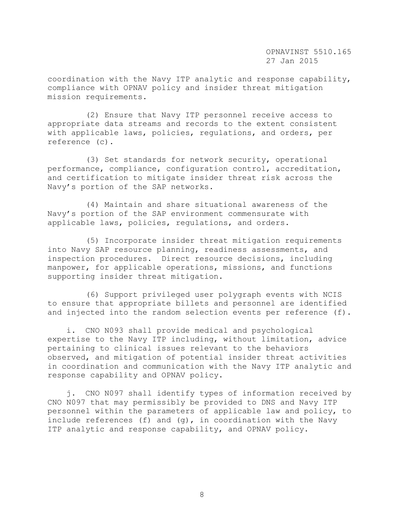coordination with the Navy ITP analytic and response capability, compliance with OPNAV policy and insider threat mitigation mission requirements.

 (2) Ensure that Navy ITP personnel receive access to appropriate data streams and records to the extent consistent with applicable laws, policies, regulations, and orders, per reference (c).

 (3) Set standards for network security, operational performance, compliance, configuration control, accreditation, and certification to mitigate insider threat risk across the Navy's portion of the SAP networks.

 (4) Maintain and share situational awareness of the Navy's portion of the SAP environment commensurate with applicable laws, policies, regulations, and orders.

 (5) Incorporate insider threat mitigation requirements into Navy SAP resource planning, readiness assessments, and inspection procedures. Direct resource decisions, including manpower, for applicable operations, missions, and functions supporting insider threat mitigation.

 (6) Support privileged user polygraph events with NCIS to ensure that appropriate billets and personnel are identified and injected into the random selection events per reference (f).

 i. CNO N093 shall provide medical and psychological expertise to the Navy ITP including, without limitation, advice pertaining to clinical issues relevant to the behaviors observed, and mitigation of potential insider threat activities in coordination and communication with the Navy ITP analytic and response capability and OPNAV policy.

 j. CNO N097 shall identify types of information received by CNO N097 that may permissibly be provided to DNS and Navy ITP personnel within the parameters of applicable law and policy, to include references (f) and  $(q)$ , in coordination with the Navy ITP analytic and response capability, and OPNAV policy.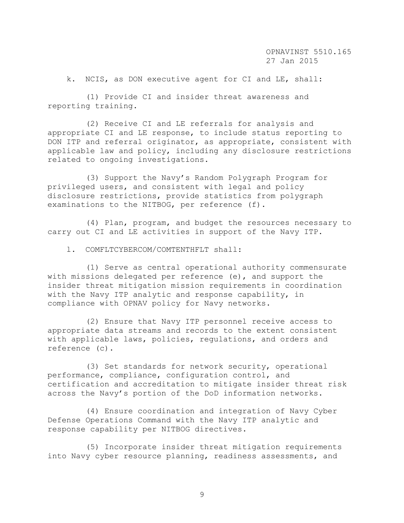k. NCIS, as DON executive agent for CI and LE, shall:

 (1) Provide CI and insider threat awareness and reporting training.

 (2) Receive CI and LE referrals for analysis and appropriate CI and LE response, to include status reporting to DON ITP and referral originator, as appropriate, consistent with applicable law and policy, including any disclosure restrictions related to ongoing investigations.

 (3) Support the Navy's Random Polygraph Program for privileged users, and consistent with legal and policy disclosure restrictions, provide statistics from polygraph examinations to the NITBOG, per reference (f).

 (4) Plan, program, and budget the resources necessary to carry out CI and LE activities in support of the Navy ITP.

l. COMFLTCYBERCOM/COMTENTHFLT shall:

 (1) Serve as central operational authority commensurate with missions delegated per reference (e), and support the insider threat mitigation mission requirements in coordination with the Navy ITP analytic and response capability, in compliance with OPNAV policy for Navy networks.

 (2) Ensure that Navy ITP personnel receive access to appropriate data streams and records to the extent consistent with applicable laws, policies, regulations, and orders and reference (c).

 (3) Set standards for network security, operational performance, compliance, configuration control, and certification and accreditation to mitigate insider threat risk across the Navy's portion of the DoD information networks.

 (4) Ensure coordination and integration of Navy Cyber Defense Operations Command with the Navy ITP analytic and response capability per NITBOG directives.

 (5) Incorporate insider threat mitigation requirements into Navy cyber resource planning, readiness assessments, and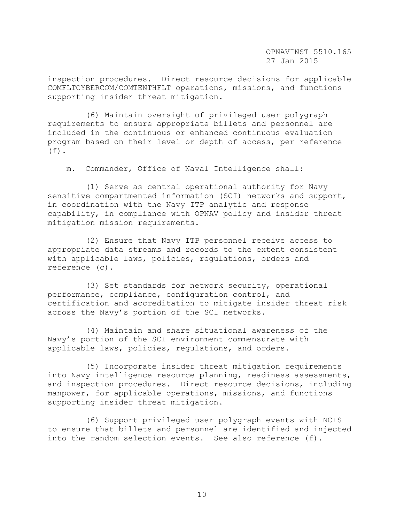inspection procedures. Direct resource decisions for applicable COMFLTCYBERCOM/COMTENTHFLT operations, missions, and functions supporting insider threat mitigation.

 (6) Maintain oversight of privileged user polygraph requirements to ensure appropriate billets and personnel are included in the continuous or enhanced continuous evaluation program based on their level or depth of access, per reference  $(f)$ .

m. Commander, Office of Naval Intelligence shall:

 (1) Serve as central operational authority for Navy sensitive compartmented information (SCI) networks and support, in coordination with the Navy ITP analytic and response capability, in compliance with OPNAV policy and insider threat mitigation mission requirements.

 (2) Ensure that Navy ITP personnel receive access to appropriate data streams and records to the extent consistent with applicable laws, policies, regulations, orders and reference (c).

 (3) Set standards for network security, operational performance, compliance, configuration control, and certification and accreditation to mitigate insider threat risk across the Navy's portion of the SCI networks.

 (4) Maintain and share situational awareness of the Navy's portion of the SCI environment commensurate with applicable laws, policies, regulations, and orders.

 (5) Incorporate insider threat mitigation requirements into Navy intelligence resource planning, readiness assessments, and inspection procedures. Direct resource decisions, including manpower, for applicable operations, missions, and functions supporting insider threat mitigation.

 (6) Support privileged user polygraph events with NCIS to ensure that billets and personnel are identified and injected into the random selection events. See also reference (f).